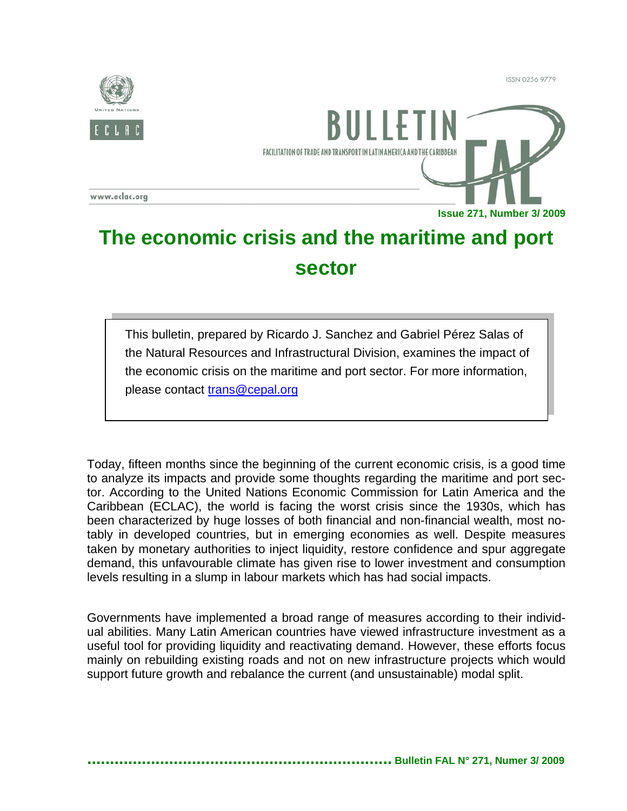**ISSN 0256 9779** 



FACILITATION OF TRADE AND TRANSPORT IN LATIN AMERICA AND THE CARIBBEAL

www.eclac.org

**Issue 271, Number 3/ 2009**

## **The economic crisis and the maritime and port sector**

This bulletin, prepared by Ricardo J. Sanchez and Gabriel Pérez Salas of the Natural Resources and Infrastructural Division, examines the impact of the economic crisis on the maritime and port sector. For more information, please contact trans@cepal.org

Today, fifteen months since the beginning of the current economic crisis, is a good time to analyze its impacts and provide some thoughts regarding the maritime and port sector. According to the United Nations Economic Commission for Latin America and the Caribbean (ECLAC), the world is facing the worst crisis since the 1930s, which has been characterized by huge losses of both financial and non-financial wealth, most notably in developed countries, but in emerging economies as well. Despite measures taken by monetary authorities to inject liquidity, restore confidence and spur aggregate demand, this unfavourable climate has given rise to lower investment and consumption levels resulting in a slump in labour markets which has had social impacts.

Governments have implemented a broad range of measures according to their individual abilities. Many Latin American countries have viewed infrastructure investment as a useful tool for providing liquidity and reactivating demand. However, these efforts focus mainly on rebuilding existing roads and not on new infrastructure projects which would support future growth and rebalance the current (and unsustainable) modal split.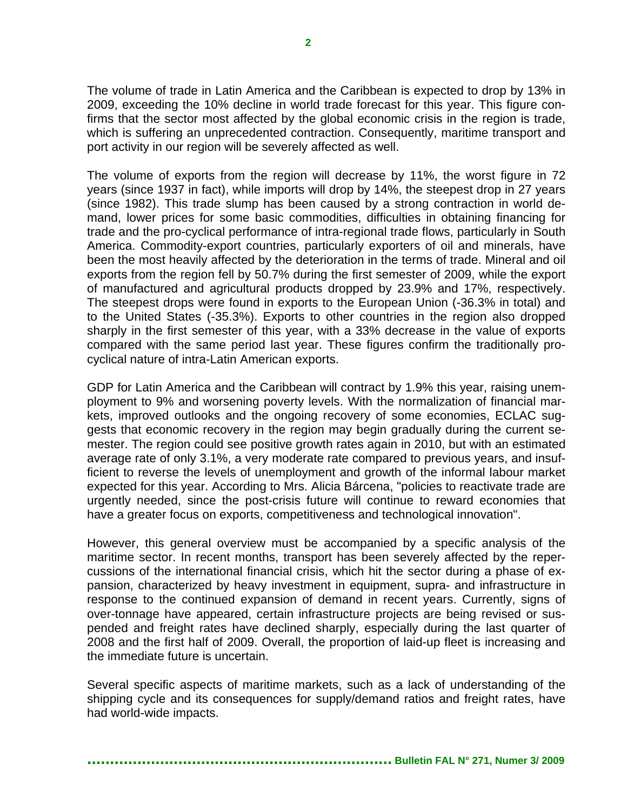The volume of trade in Latin America and the Caribbean is expected to drop by 13% in 2009, exceeding the 10% decline in world trade forecast for this year. This figure confirms that the sector most affected by the global economic crisis in the region is trade, which is suffering an unprecedented contraction. Consequently, maritime transport and port activity in our region will be severely affected as well.

The volume of exports from the region will decrease by 11%, the worst figure in 72 years (since 1937 in fact), while imports will drop by 14%, the steepest drop in 27 years (since 1982). This trade slump has been caused by a strong contraction in world demand, lower prices for some basic commodities, difficulties in obtaining financing for trade and the pro-cyclical performance of intra-regional trade flows, particularly in South America. Commodity-export countries, particularly exporters of oil and minerals, have been the most heavily affected by the deterioration in the terms of trade. Mineral and oil exports from the region fell by 50.7% during the first semester of 2009, while the export of manufactured and agricultural products dropped by 23.9% and 17%, respectively. The steepest drops were found in exports to the European Union (-36.3% in total) and to the United States (-35.3%). Exports to other countries in the region also dropped sharply in the first semester of this year, with a 33% decrease in the value of exports compared with the same period last year. These figures confirm the traditionally procyclical nature of intra-Latin American exports.

GDP for Latin America and the Caribbean will contract by 1.9% this year, raising unemployment to 9% and worsening poverty levels. With the normalization of financial markets, improved outlooks and the ongoing recovery of some economies, ECLAC suggests that economic recovery in the region may begin gradually during the current semester. The region could see positive growth rates again in 2010, but with an estimated average rate of only 3.1%, a very moderate rate compared to previous years, and insufficient to reverse the levels of unemployment and growth of the informal labour market expected for this year. According to Mrs. Alicia Bárcena, "policies to reactivate trade are urgently needed, since the post-crisis future will continue to reward economies that have a greater focus on exports, competitiveness and technological innovation".

However, this general overview must be accompanied by a specific analysis of the maritime sector. In recent months, transport has been severely affected by the repercussions of the international financial crisis, which hit the sector during a phase of expansion, characterized by heavy investment in equipment, supra- and infrastructure in response to the continued expansion of demand in recent years. Currently, signs of over-tonnage have appeared, certain infrastructure projects are being revised or suspended and freight rates have declined sharply, especially during the last quarter of 2008 and the first half of 2009. Overall, the proportion of laid-up fleet is increasing and the immediate future is uncertain.

Several specific aspects of maritime markets, such as a lack of understanding of the shipping cycle and its consequences for supply/demand ratios and freight rates, have had world-wide impacts.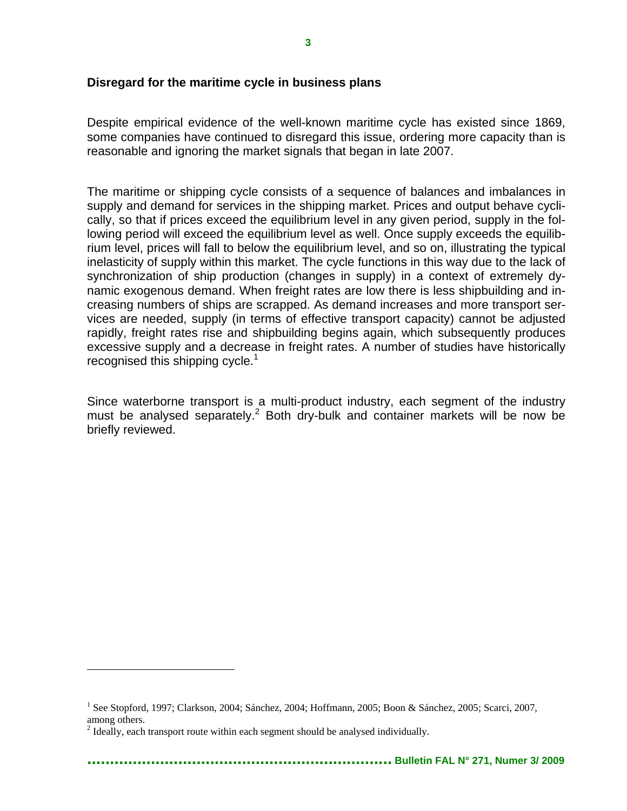## **Disregard for the maritime cycle in business plans**

Despite empirical evidence of the well-known maritime cycle has existed since 1869, some companies have continued to disregard this issue, ordering more capacity than is reasonable and ignoring the market signals that began in late 2007.

The maritime or shipping cycle consists of a sequence of balances and imbalances in supply and demand for services in the shipping market. Prices and output behave cyclically, so that if prices exceed the equilibrium level in any given period, supply in the following period will exceed the equilibrium level as well. Once supply exceeds the equilibrium level, prices will fall to below the equilibrium level, and so on, illustrating the typical inelasticity of supply within this market. The cycle functions in this way due to the lack of synchronization of ship production (changes in supply) in a context of extremely dynamic exogenous demand. When freight rates are low there is less shipbuilding and increasing numbers of ships are scrapped. As demand increases and more transport services are needed, supply (in terms of effective transport capacity) cannot be adjusted rapidly, freight rates rise and shipbuilding begins again, which subsequently produces excessive supply and a decrease in freight rates. A number of studies have historically recognised this shipping cycle.<sup>1</sup>

Since waterborne transport is a multi-product industry, each segment of the industry must be analysed separately.<sup>2</sup> Both dry-bulk and container markets will be now be briefly reviewed.

<u>.</u>

<sup>&</sup>lt;sup>1</sup> See Stopford, 1997; Clarkson, 2004; Sánchez, 2004; Hoffmann, 2005; Boon & Sánchez, 2005; Scarci, 2007, among others.

 $2$  Ideally, each transport route within each segment should be analysed individually.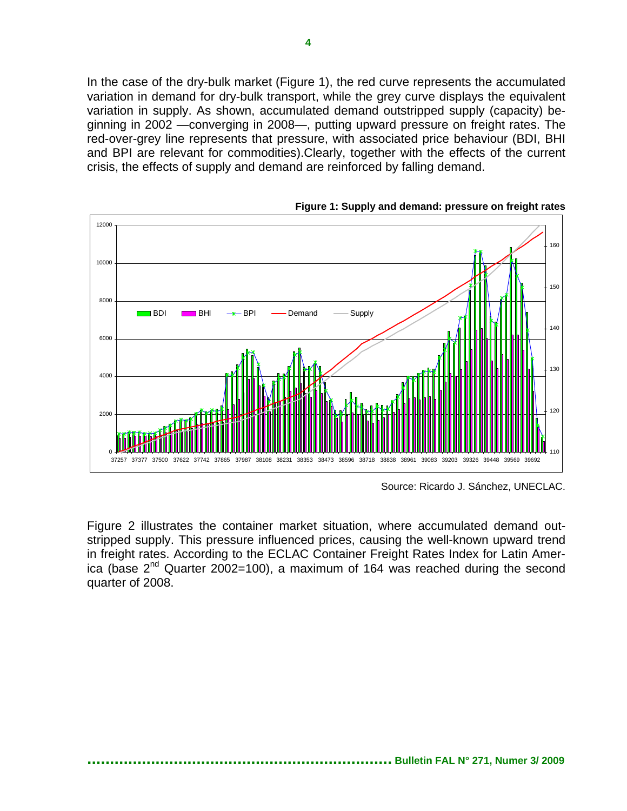In the case of the dry-bulk market (Figure 1), the red curve represents the accumulated variation in demand for dry-bulk transport, while the grey curve displays the equivalent variation in supply. As shown, accumulated demand outstripped supply (capacity) beginning in 2002 —converging in 2008—, putting upward pressure on freight rates. The red-over-grey line represents that pressure, with associated price behaviour (BDI, BHI and BPI are relevant for commodities).Clearly, together with the effects of the current crisis, the effects of supply and demand are reinforced by falling demand.



**Figure 1: Supply and demand: pressure on freight rates** 

Source: Ricardo J. Sánchez, UNECLAC.

Figure 2 illustrates the container market situation, where accumulated demand outstripped supply. This pressure influenced prices, causing the well-known upward trend in freight rates. According to the ECLAC Container Freight Rates Index for Latin America (base  $2^{nd}$  Quarter 2002=100), a maximum of 164 was reached during the second quarter of 2008.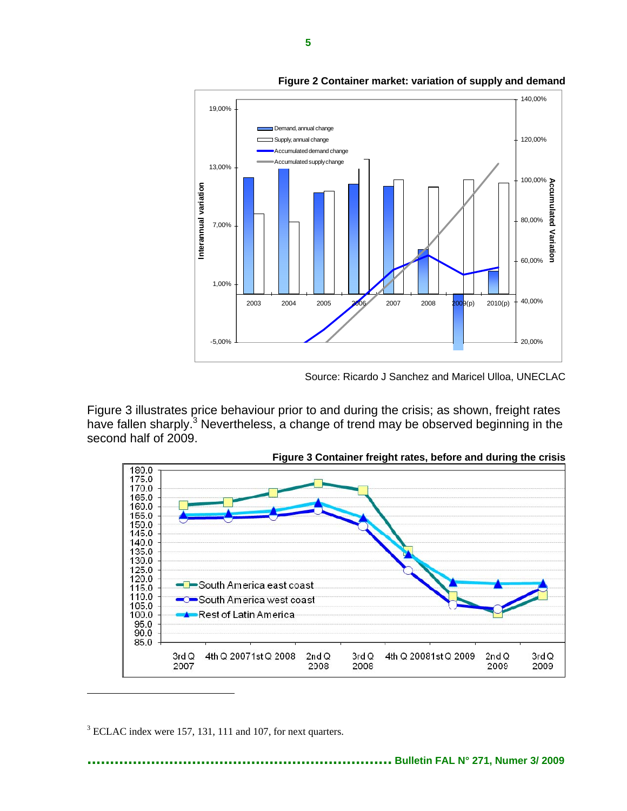

**Figure 2 Container market: variation of supply and demand** 

Source: Ricardo J Sanchez and Maricel Ulloa, UNECLAC

Figure 3 illustrates price behaviour prior to and during the crisis; as shown, freight rates have fallen sharply.<sup>3</sup> Nevertheless, a change of trend may be observed beginning in the second half of 2009.



**Figure 3 Container freight rates, before and during the crisis** 

 $3$  ECLAC index were 157, 131, 111 and 107, for next quarters.

1

**................................................................... Bulletin FAL N° 271, Numer 3/ 2009**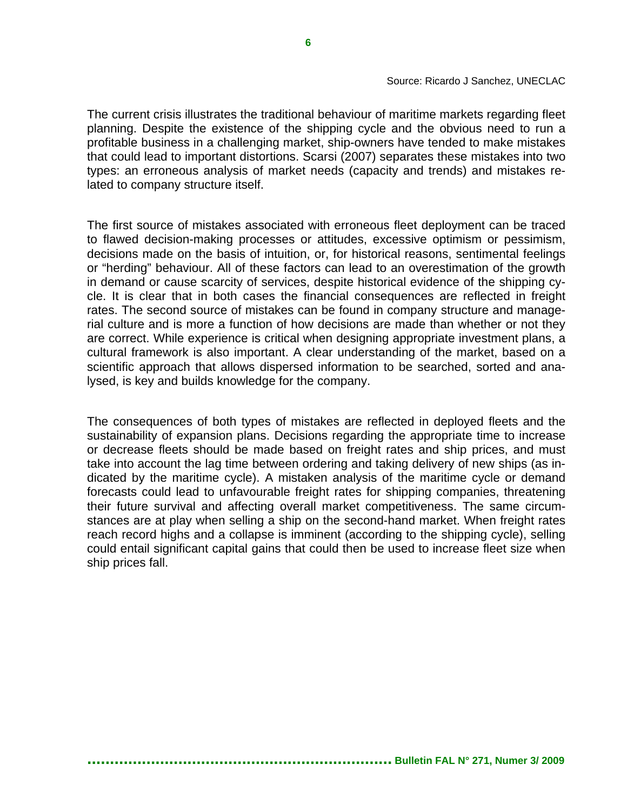The current crisis illustrates the traditional behaviour of maritime markets regarding fleet planning. Despite the existence of the shipping cycle and the obvious need to run a profitable business in a challenging market, ship-owners have tended to make mistakes that could lead to important distortions. Scarsi (2007) separates these mistakes into two types: an erroneous analysis of market needs (capacity and trends) and mistakes related to company structure itself.

The first source of mistakes associated with erroneous fleet deployment can be traced to flawed decision-making processes or attitudes, excessive optimism or pessimism, decisions made on the basis of intuition, or, for historical reasons, sentimental feelings or "herding" behaviour. All of these factors can lead to an overestimation of the growth in demand or cause scarcity of services, despite historical evidence of the shipping cycle. It is clear that in both cases the financial consequences are reflected in freight rates. The second source of mistakes can be found in company structure and managerial culture and is more a function of how decisions are made than whether or not they are correct. While experience is critical when designing appropriate investment plans, a cultural framework is also important. A clear understanding of the market, based on a scientific approach that allows dispersed information to be searched, sorted and analysed, is key and builds knowledge for the company.

The consequences of both types of mistakes are reflected in deployed fleets and the sustainability of expansion plans. Decisions regarding the appropriate time to increase or decrease fleets should be made based on freight rates and ship prices, and must take into account the lag time between ordering and taking delivery of new ships (as indicated by the maritime cycle). A mistaken analysis of the maritime cycle or demand forecasts could lead to unfavourable freight rates for shipping companies, threatening their future survival and affecting overall market competitiveness. The same circumstances are at play when selling a ship on the second-hand market. When freight rates reach record highs and a collapse is imminent (according to the shipping cycle), selling could entail significant capital gains that could then be used to increase fleet size when ship prices fall.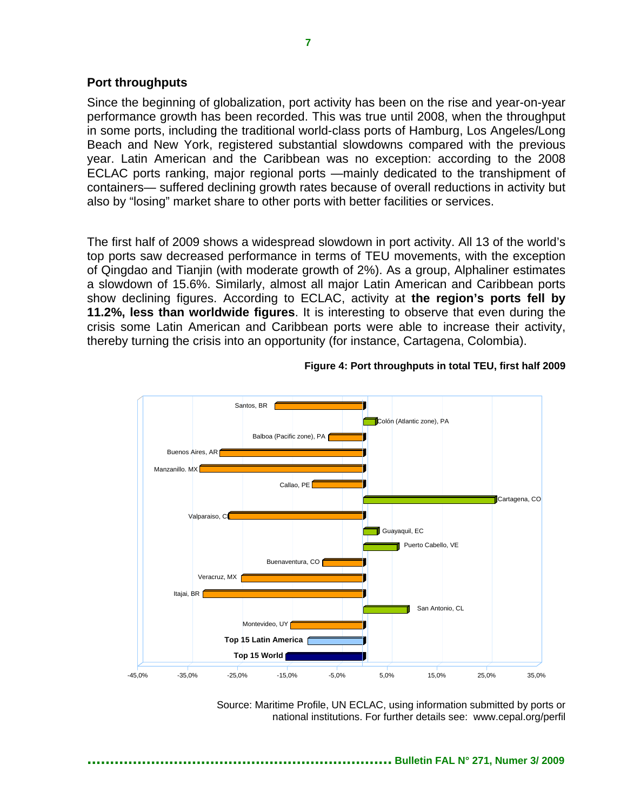## **Port throughputs**

Since the beginning of globalization, port activity has been on the rise and year-on-year performance growth has been recorded. This was true until 2008, when the throughput in some ports, including the traditional world-class ports of Hamburg, Los Angeles/Long Beach and New York, registered substantial slowdowns compared with the previous year. Latin American and the Caribbean was no exception: according to the 2008 ECLAC ports ranking, major regional ports —mainly dedicated to the transhipment of containers— suffered declining growth rates because of overall reductions in activity but also by "losing" market share to other ports with better facilities or services.

The first half of 2009 shows a widespread slowdown in port activity. All 13 of the world's top ports saw decreased performance in terms of TEU movements, with the exception of Qingdao and Tianjin (with moderate growth of 2%). As a group, Alphaliner estimates a slowdown of 15.6%. Similarly, almost all major Latin American and Caribbean ports show declining figures. According to ECLAC, activity at **the region's ports fell by 11.2%, less than worldwide figures**. It is interesting to observe that even during the crisis some Latin American and Caribbean ports were able to increase their activity, thereby turning the crisis into an opportunity (for instance, Cartagena, Colombia).



**Figure 4: Port throughputs in total TEU, first half 2009** 

Source: Maritime Profile, UN ECLAC, using information submitted by ports or national institutions. For further details see: www.cepal.org/perfil